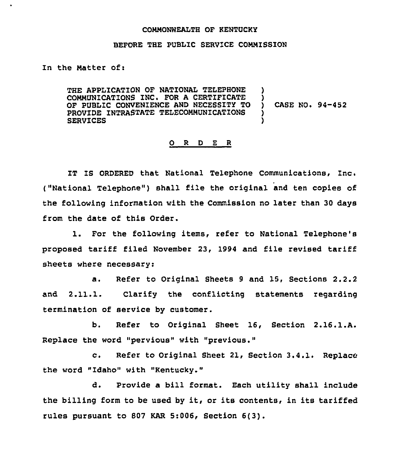## COMMONWEALTH OF KENTUCKY

## BEFORE THE PUBLIC SERVICE COMMISSION

In the Matter of:

THE APPLICATION OF NATIONAL TELEPHONE COMMUNICATIONS INC. FOR A CERTIFICATE OF PUBLIC CONVENIENCE AND NECESSITY TO PROVIDE INTRASTATE TELECOMMUNICATIONS SERVICES

) CASE NO. 94-452

) )

> ) )

## O R D E R

IT IS ORDERED that National Telephone Communications, Inc. ("National Telephone") shall file the original and ten copies of the following information with the Commission no later than 30 days from the date of this Order.

1. For the following items, refer to National Telephone's proposed tariff filed November 23, 1994 and file revised tariff sheets where necessary:

a. Refer to Original Sheets <sup>9</sup> and 15, Sections 2.2.2 and 2.11.1. Clarify the conflicting statements regarding termination of service by customer.

b. Refer to Original Sheet 16, Section 2.16.1.A. Replace the word "pervious" with "previous."

c. Refer to Original Sheet 21, Section 3.4.1. Replace the word "Idaho" with "Kentucky."

d. Provide a bill format. Each utility shall include the billing form to be used by it, or its contents, in its tariffed rules pursuant to 807 KAR 5:006, Section 6(3).